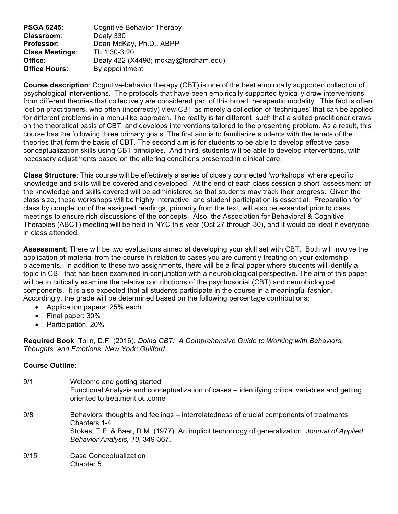| <b>PSGA 6245:</b>      | Cognitive Behavior Therapy           |
|------------------------|--------------------------------------|
| <b>Classroom:</b>      | Dealy 330                            |
| Professor:             | Dean McKay, Ph.D., ABPP              |
| <b>Class Meetings:</b> | Th 1:30-3:20                         |
| Office:                | Dealy 422 (X4498; mckay@fordham.edu) |
| <b>Office Hours:</b>   | By appointment                       |

**Course description**: Cognitive-behavior therapy (CBT) is one of the best empirically supported collection of psychological interventions. The protocols that have been empirically supported typically draw interventions from different theories that collectively are considered part of this broad therapeutic modality. This fact is often lost on practitioners, who often (incorrectly) view CBT as merely a collection of 'techniques' that can be applied for different problems in a menu-like approach. The reality is far different, such that a skilled practitioner draws on the theoretical basis of CBT, and develops interventions tailored to the presenting problem. As a result, this course has the following three primary goals. The first aim is to familiarize students with the tenets of the theories that form the basis of CBT. The second aim is for students to be able to develop effective case conceptualization skills using CBT principles. And third, students will be able to develop interventions, with necessary adjustments based on the altering conditions presented in clinical care.

**Class Structure**: This course will be effectively a series of closely connected 'workshops' where specific knowledge and skills will be covered and developed. At the end of each class session a short 'assessment' of the knowledge and skills covered will be administered so that students may track their progress. Given the class size, these workshops will be highly interactive, and student participation is essential. Preparation for class by completion of the assigned readings, primarily from the text, will also be essential prior to class meetings to ensure rich discussions of the concepts. Also, the Association for Behavioral & Cognitive Therapies (ABCT) meeting will be held in NYC this year (Oct 27 through 30), and it would be ideal if everyone in class attended.

**Assessment**: There will be two evaluations aimed at developing your skill set with CBT. Both will involve the application of material from the course in relation to cases you are currently treating on your externship placements. In addition to these two assignments, there will be a final paper where students will identify a topic in CBT that has been examined in conjunction with a neurobiological perspective. The aim of this paper will be to critically examine the relative contributions of the psychosocial (CBT) and neurobiological components. It is also expected that all students participate in the course in a meaningful fashion. Accordingly, the grade will be determined based on the following percentage contributions:

- Application papers: 25% each
- Final paper: 30%
- Participation: 20%

**Required Book**: Tolin, D.F. (2016). *Doing CBT: A Comprehensive Guide to Working with Behaviors, Thoughts, and Emotions. New York: Guilford.*

## **Course Outline**:

| 9/1  | Welcome and getting started<br>Functional Analysis and conceptualization of cases – identifying critical variables and getting<br>oriented to treatment outcome                                                                              |
|------|----------------------------------------------------------------------------------------------------------------------------------------------------------------------------------------------------------------------------------------------|
| 9/8  | Behaviors, thoughts and feelings – interrelatedness of crucial components of treatments<br>Chapters 1-4<br>Stokes, T.F. & Baer, D.M. (1977). An implicit technology of generalization. Journal of Applied<br>Behavior Analysis, 10, 349-367. |
| 9/15 | Case Conceptualization<br>Chapter 5                                                                                                                                                                                                          |